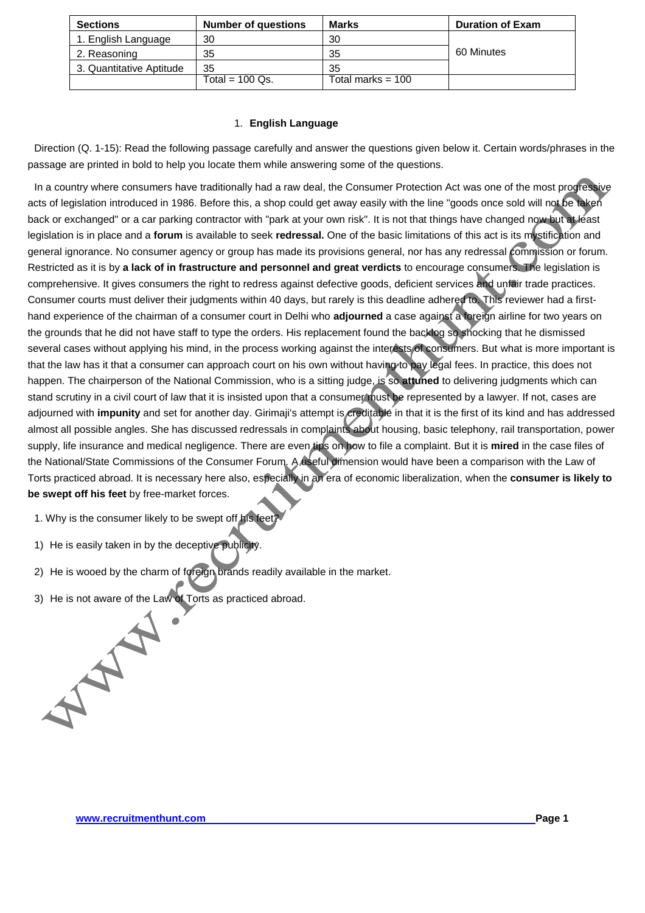| <b>Sections</b>          | <b>Number of questions</b> | <b>Marks</b>        | <b>Duration of Exam</b> |
|--------------------------|----------------------------|---------------------|-------------------------|
| 1. English Language      | 30                         | 30                  |                         |
| 2. Reasoning             | 35                         | 35                  | 60 Minutes              |
| 3. Quantitative Aptitude | 35                         | 35                  |                         |
|                          | Total = $100$ Qs.          | Total marks = $100$ |                         |

## 1. **English Language**

Direction (Q. 1-15): Read the following passage carefully and answer the questions given below it. Certain words/phrases in the passage are printed in bold to help you locate them while answering some of the questions.

In a country where consumers have traditionally had a raw deal, the Consumer Protection Act was one of the most progressive acts of legislation introduced in 1986. Before this, a shop could get away easily with the line "goods once sold will not be taken back or exchanged" or a car parking contractor with "park at your own risk". It is not that things have changed now but at least legislation is in place and a **forum** is available to seek **redressal.** One of the basic limitations of this act is its mystification and general ignorance. No consumer agency or group has made its provisions general, nor has any redressal commission or forum. Restricted as it is by **a lack of in frastructure and personnel and great verdicts** to encourage consumers. The legislation is comprehensive. It gives consumers the right to redress against defective goods, deficient services and unfair trade practices. Consumer courts must deliver their judgments within 40 days, but rarely is this deadline adhered to. This reviewer had a firsthand experience of the chairman of a consumer court in Delhi who **adjourned** a case against a foreign airline for two years on the grounds that he did not have staff to type the orders. His replacement found the backlog so shocking that he dismissed several cases without applying his mind, in the process working against the interests of consumers. But what is more important is that the law has it that a consumer can approach court on his own without having to pay legal fees. In practice, this does not happen. The chairperson of the National Commission, who is a sitting judge, is so **attuned** to delivering judgments which can stand scrutiny in a civil court of law that it is insisted upon that a consumer must be represented by a lawyer. If not, cases are adjourned with **impunity** and set for another day. Girimaji's attempt is creditable in that it is the first of its kind and has addressed almost all possible angles. She has discussed redressals in complaints about housing, basic telephony, rail transportation, power supply, life insurance and medical negligence. There are even tips on how to file a complaint. But it is **mired** in the case files of the National/State Commissions of the Consumer Forum. A useful dimension would have been a comparison with the Law of Torts practiced abroad. It is necessary here also, especially in an era of economic liberalization, when the **consumer is likely to be swept off his feet** by free-market forces.

- 1. Why is the consumer likely to be swept off his feet
- 1) He is easily taken in by the deceptive publicity.
- 2) He is wooed by the charm of foreign brands readily available in the market.
- 3) He is not aware of the Law of Torts as practiced abroad.

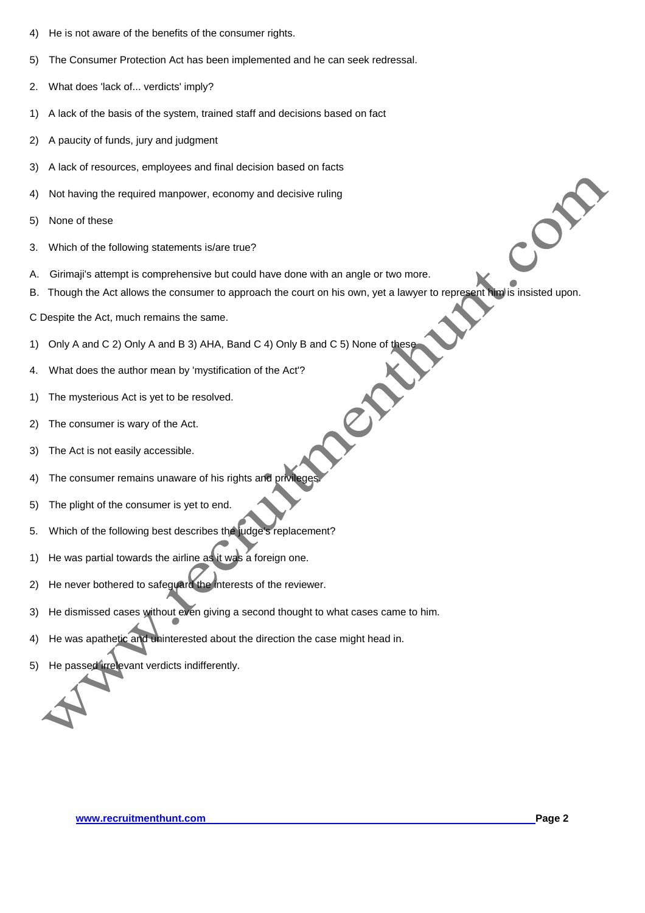- 4) He is not aware of the benefits of the consumer rights.
- 5) The Consumer Protection Act has been implemented and he can seek redressal.
- 2. What does 'lack of... verdicts' imply?
- 1) A lack of the basis of the system, trained staff and decisions based on fact
- 2) A paucity of funds, jury and judgment
- 3) A lack of resources, employees and final decision based on facts
- 4) Not having the required manpower, economy and decisive ruling
- 5) None of these
- 3. Which of the following statements is/are true?
- A. Girimaji's attempt is comprehensive but could have done with an angle or two more.
- B. Though the Act allows the consumer to approach the court on his own, yet a lawyer to represent him is insisted upon.

ex

- C Despite the Act, much remains the same.
- 1) Only A and C 2) Only A and B 3) AHA, Band C 4) Only B and C 5) None of these
- 4. What does the author mean by 'mystification of the Act'?
- 1) The mysterious Act is yet to be resolved.
- 2) The consumer is wary of the Act.
- 3) The Act is not easily accessible.
- 4) The consumer remains unaware of his rights and privilege
- 5) The plight of the consumer is yet to end.
- 5. Which of the following best describes the judge's replacement?
- 1) He was partial towards the airline as it was a foreign one.
- 2) He never bothered to safeguard the interests of the reviewer.
- 3) He dismissed cases without even giving a second thought to what cases came to him.
- 4) He was apathetic and uninterested about the direction the case might head in.
- 5) He passed irrelevant verdicts indifferently.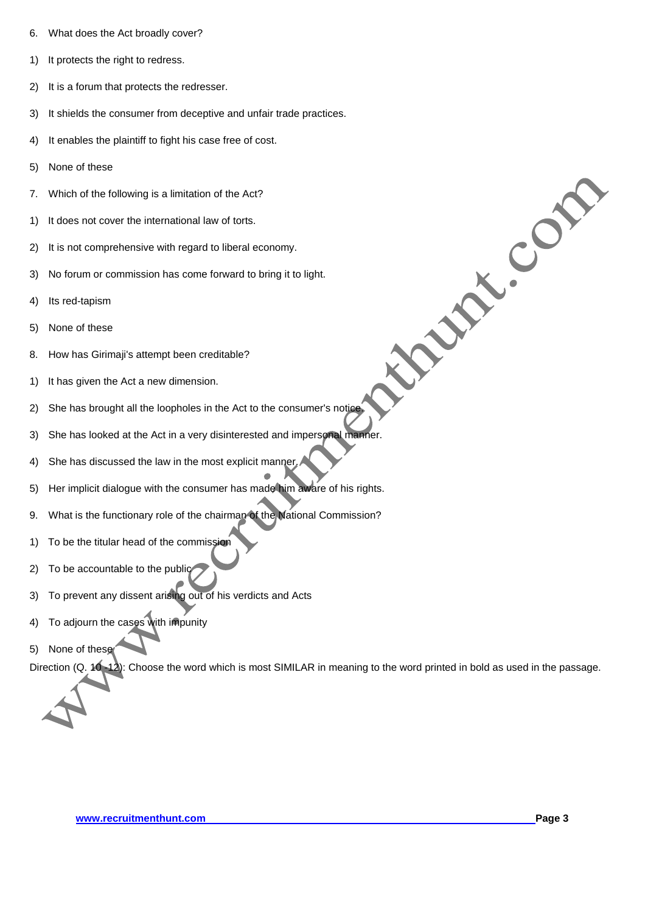- 6. What does the Act broadly cover?
- 1) It protects the right to redress.
- 2) It is a forum that protects the redresser.
- 3) It shields the consumer from deceptive and unfair trade practices.
- 4) It enables the plaintiff to fight his case free of cost.
- 5) None of these
- 7. Which of the following is a limitation of the Act?
- 1) It does not cover the international law of torts.
- 2) It is not comprehensive with regard to liberal economy.
- 3) No forum or commission has come forward to bring it to light.
- 4) Its red-tapism
- 5) None of these
- 8. How has Girimaji's attempt been creditable?
- 1) It has given the Act a new dimension.
- 2) She has brought all the loopholes in the Act to the consumer's notice.
- 3) She has looked at the Act in a very disinterested and impersonal manner.
- 4) She has discussed the law in the most explicit manner.
- 5) Her implicit dialogue with the consumer has made him aware of his rights.
- 9. What is the functionary role of the chairman of the National Commission?
- 1) To be the titular head of the commission
- 2) To be accountable to the public
- 3) To prevent any dissent arising out of his verdicts and Acts
- 4) To adjourn the cases with impunity
- 5) None of these

Direction (Q. 10 -12): Choose the word which is most SIMILAR in meaning to the word printed in bold as used in the passage.



**Procession**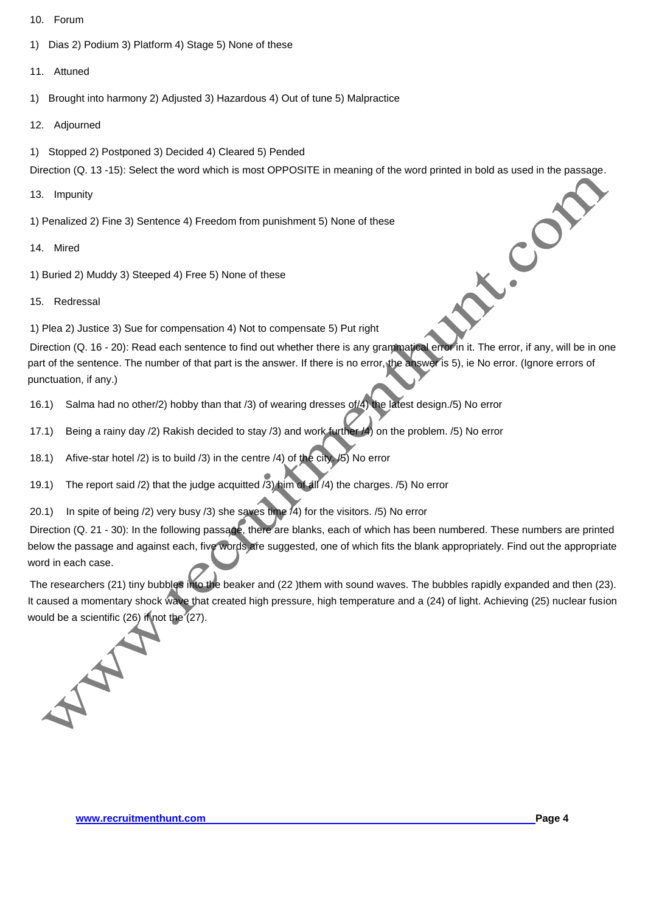- 10. Forum
- 1) Dias 2) Podium 3) Platform 4) Stage 5) None of these

# 11. Attuned

- 1) Brought into harmony 2) Adjusted 3) Hazardous 4) Out of tune 5) Malpractice
- 12. Adjourned
- 1) Stopped 2) Postponed 3) Decided 4) Cleared 5) Pended

Direction (Q. 13 -15): Select the word which is most OPPOSITE in meaning of the word printed in bold as used in the passage.

- 13. Impunity
- 1) Penalized 2) Fine 3) Sentence 4) Freedom from punishment 5) None of these
- 14. Mired
- 1) Buried 2) Muddy 3) Steeped 4) Free 5) None of these
- 15. Redressal

1) Plea 2) Justice 3) Sue for compensation 4) Not to compensate 5) Put right

Direction (Q. 16 - 20): Read each sentence to find out whether there is any grammatical error in it. The error, if any, will be in one part of the sentence. The number of that part is the answer. If there is no error, the answer is 5), ie No error. (Ignore errors of punctuation, if any.)

- 16.1) Salma had no other/2) hobby than that /3) of wearing dresses of/4) the latest design./5) No error
- 17.1) Being a rainy day /2) Rakish decided to stay /3) and work further /4) on the problem. /5) No error
- 18.1) Afive-star hotel /2) is to build /3) in the centre /4) of the city. /5) No error
- 19.1) The report said /2) that the judge acquitted /3) him of all /4) the charges. /5) No error
- 20.1) In spite of being /2) very busy /3) she saves time /4) for the visitors. /5) No error

Direction (Q. 21 - 30): In the following passage, there are blanks, each of which has been numbered. These numbers are printed below the passage and against each, five words are suggested, one of which fits the blank appropriately. Find out the appropriate word in each case.

The researchers (21) tiny bubbles into the beaker and (22 )them with sound waves. The bubbles rapidly expanded and then (23). It caused a momentary shock wave that created high pressure, high temperature and a (24) of light. Achieving (25) nuclear fusion would be a scientific (26) if not the  $(27)$ .



L.Com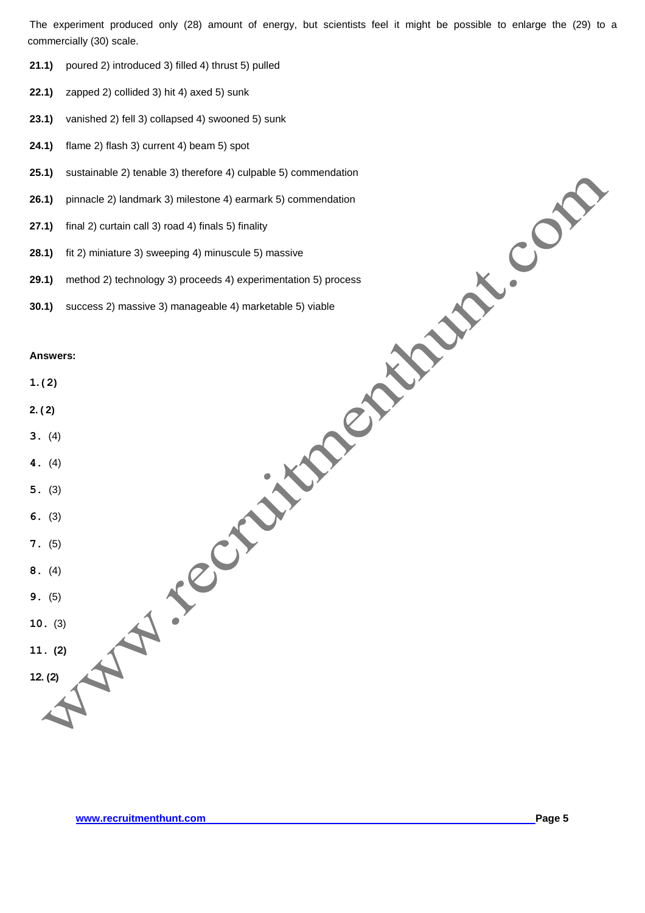The experiment produced only (28) amount of energy, but scientists feel it might be possible to enlarge the (29) to a commercially (30) scale.

- **21.1)** poured 2) introduced 3) filled 4) thrust 5) pulled
- **22.1)** zapped 2) collided 3) hit 4) axed 5) sunk
- **23.1)** vanished 2) fell 3) collapsed 4) swooned 5) sunk
- **24.1)** flame 2) flash 3) current 4) beam 5) spot
- **25.1)** sustainable 2) tenable 3) therefore 4) culpable 5) commendation
- **26.1)** pinnacle 2) landmark 3) milestone 4) earmark 5) commendation
- **27.1)** final 2) curtain call 3) road 4) finals 5) finality
- **28.1)** fit 2) miniature 3) sweeping 4) minuscule 5) massive
- **29.1)** method 2) technology 3) proceeds 4) experimentation 5) process
- **30.1)** success 2) massive 3) manageable 4) marketable 5) viable

| 25.1)             | sustainable 2) tenable 3) therefore 4) culpable 5) commendation   |
|-------------------|-------------------------------------------------------------------|
| 26.1)             | pinnacle 2) landmark 3) milestone 4) earmark 5) commendation      |
| (27.1)            | final 2) curtain call 3) road 4) finals 5) finality               |
| 28.1)             | $\bullet$<br>fit 2) miniature 3) sweeping 4) minuscule 5) massive |
| 29.1)             | method 2) technology 3) proceeds 4) experimentation 5) process    |
| 30.1)             | success 2) massive 3) manageable 4) marketable 5) viable          |
| Answers:<br>1.(2) |                                                                   |
| 2. (2)            |                                                                   |
| 3. (4)            |                                                                   |
| 4. (4)            |                                                                   |
| 5. (3)            |                                                                   |
| 6. (3)            |                                                                   |
| 7. (5)            |                                                                   |
| 8. (4)            |                                                                   |
| 9. (5)            |                                                                   |
| 10. (3)           |                                                                   |
| 11. (2)           |                                                                   |
| 12. (2)           |                                                                   |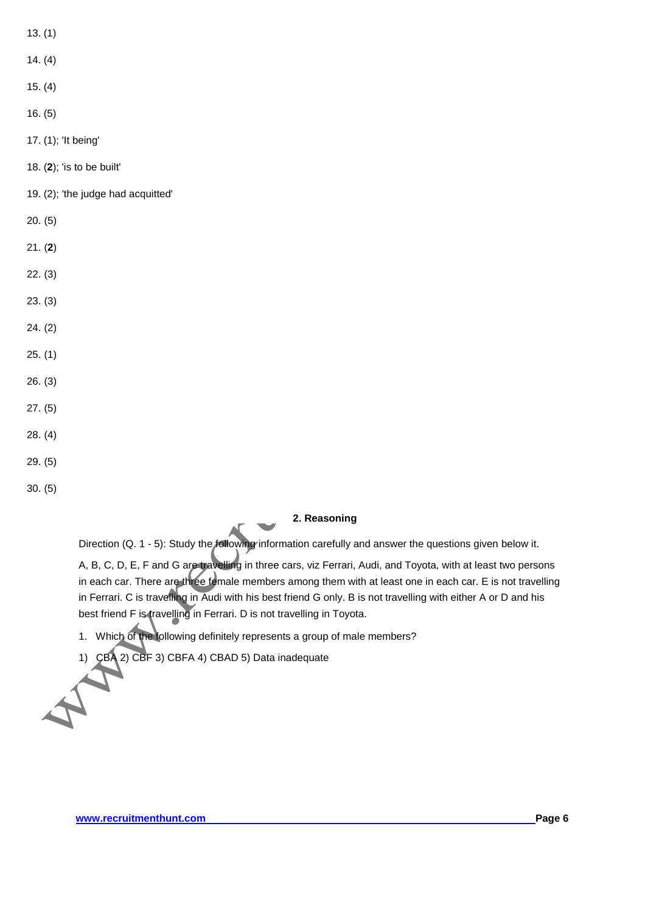- 13. (1)
- 14. (4)
- 15. (4)
- 16. (5)
- 17. (1); 'It being'
- 18. (**2**); 'is to be built'
- 19. (2); 'the judge had acquitted'
- 20. (5)
- 21. (**2**)
- 22. (3)
- 23. (3)
- 24. (2)
- 25. (1)
- 26. (3)
- 27. (5)
- 28. (4)
- 29. (5)
- 30. (5)

# **2. Reasoning**

Direction (Q. 1 - 5): Study the following information carefully and answer the questions given below it.

A, B, C, D, E, F and G are travelling in three cars, viz Ferrari, Audi, and Toyota, with at least two persons in each car. There are three female members among them with at least one in each car. E is not travelling in Ferrari. C is travelling in Audi with his best friend G only. B is not travelling with either A or D and his best friend F is travelling in Ferrari. D is not travelling in Toyota.

- 1. Which of the following definitely represents a group of male members?
- 1) CBA 2) CBF 3) CBFA 4) CBAD 5) Data inadequate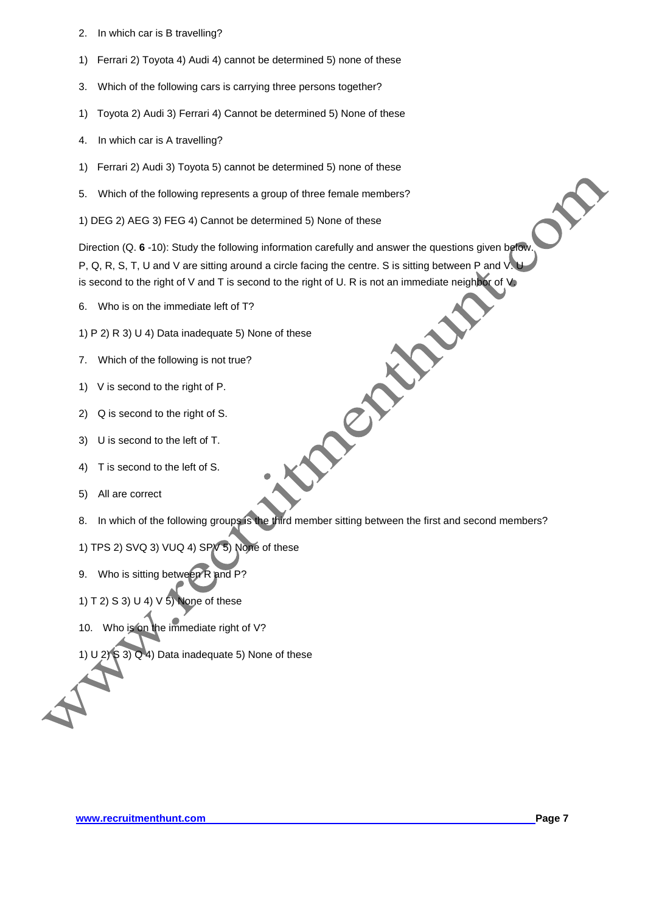- 2. In which car is B travelling?
- 1) Ferrari 2) Toyota 4) Audi 4) cannot be determined 5) none of these
- 3. Which of the following cars is carrying three persons together?
- 1) Toyota 2) Audi 3) Ferrari 4) Cannot be determined 5) None of these
- 4. In which car is A travelling?
- 1) Ferrari 2) Audi 3) Toyota 5) cannot be determined 5) none of these
- 5. Which of the following represents a group of three female members?
- 1) DEG 2) AEG 3) FEG 4) Cannot be determined 5) None of these

Direction (Q. **6** -10): Study the following information carefully and answer the questions given below. P, Q, R, S, T, U and V are sitting around a circle facing the centre. S is sitting between P and V.U is second to the right of V and T is second to the right of U. R is not an immediate neighbor of V<br>
6. Who is on the immediate left of T?<br>
1) P 2) R 3) U 4) Data inadequate 5) None of these<br>
7. Which of the following is n

- 6. Who is on the immediate left of T?
- 1) P 2) R 3) U 4) Data inadequate 5) None of these
- 7. Which of the following is not true?
- 1) V is second to the right of P.
- 2) Q is second to the right of S.
- 3) U is second to the left of T.
- 4) T is second to the left of S.
- 5) All are correct
- 8. In which of the following groups is the third member sitting between the first and second members?
- 1) TPS 2) SVQ 3) VUQ 4) SPV 5) None of these
- 9. Who is sitting between R and P?
- 1) T 2) S 3) U 4) V  $5$ ) None of these
- 10. Who is on the immediate right of V?
- 1) U 2)  $\angle$  3)  $\angle$  4) Data inadequate 5) None of these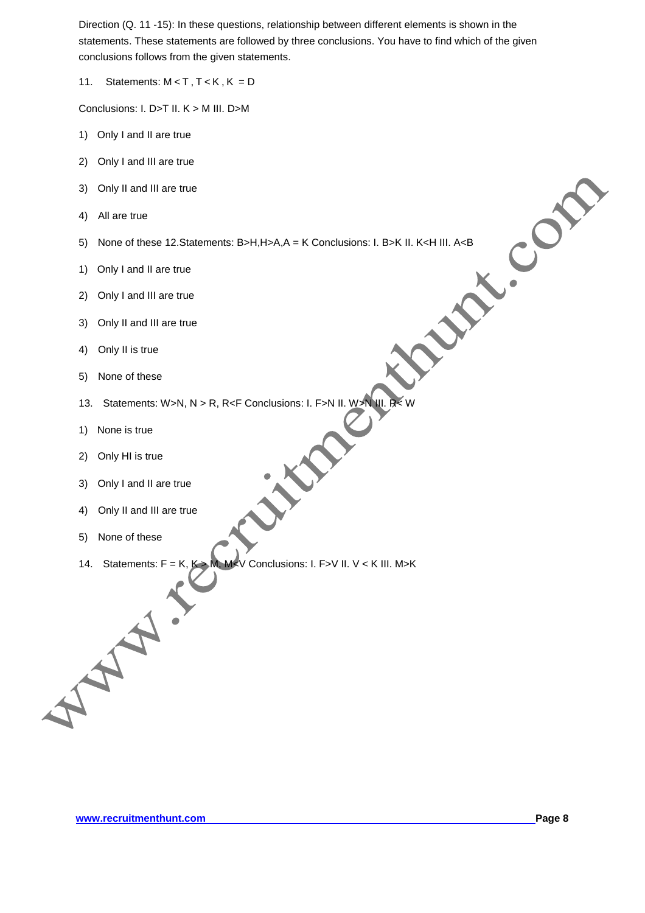Direction (Q. 11 -15): In these questions, relationship between different elements is shown in the statements. These statements are followed by three conclusions. You have to find which of the given conclusions follows from the given statements.

11. Statements:  $M < T$ ,  $T < K$ ,  $K = D$ 

Conclusions: I. D>T II. K > M III. D>M

- 1) Only I and II are true
- 2) Only I and III are true
- 3) Only II and III are true
- 4) All are true
- 5) None of these 12.Statements: B>H,H>A,A = K Conclusions: I. B>K II. K<H III. A<B<br>
1) Only I and III are true<br>
2) Only I and III are true<br>
3) Only II and III are true<br>
4) Only II is true<br>
5) None of these<br>
13
- 1) Only I and II are true
- 2) Only I and III are true
- 3) Only II and III are true
- 4) Only II is true
- 5) None of these
- 13. Statements: W>N, N > R, R<F Conclusions: I. F>N II. W >N III. R  $\lt$  W<br>1) None is true<br>2) Only HI is true<br>3) Only I and II are true<br>4) Only II
- 1) None is true
- 2) Only HI is true
- 3) Only I and II are true
- 4) Only II and III are true
- 5) None of these
- 14. Statements:  $F = K$ ,  $K > M$ ,  $M < V$  Conclusions: I. F>V II. V < K III. M>K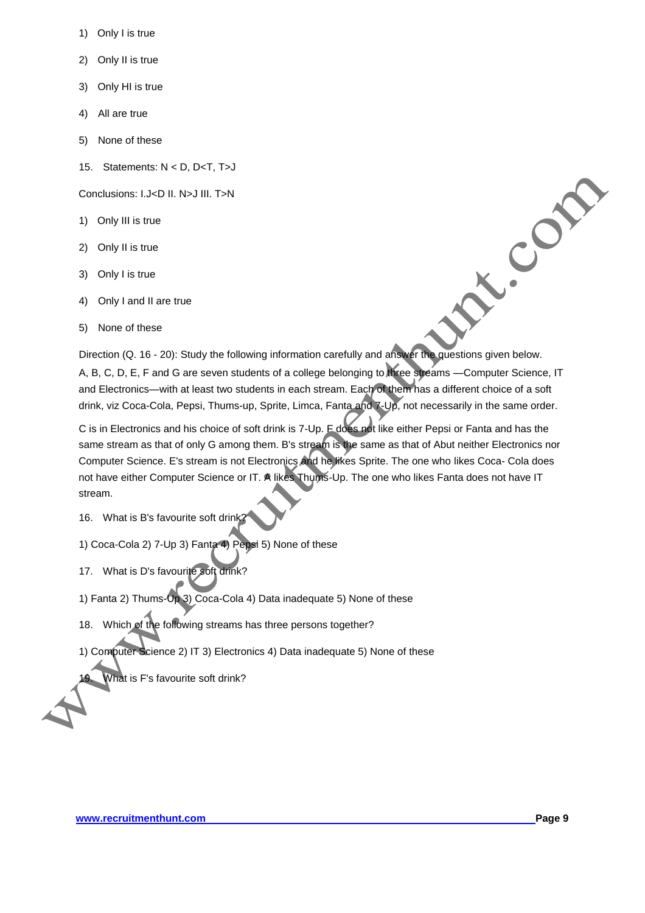- 1) Only I is true
- 2) Only II is true
- 3) Only HI is true
- 4) All are true
- 5) None of these
- 15. Statements: N < D, D<T, T>J

Conclusions: I.J<D II. N>J III. T>N

- 1) Only III is true
- 2) Only II is true
- 3) Only I is true
- 4) Only I and II are true
- 5) None of these

Direction (Q. 16 - 20): Study the following information carefully and answer the questions given below. A, B, C, D, E, F and G are seven students of a college belonging to three streams —Computer Science, IT and Electronics—with at least two students in each stream. Each of them has a different choice of a soft drink, viz Coca-Cola, Pepsi, Thums-up, Sprite, Limca, Fanta and 7-Up, not necessarily in the same order.

C is in Electronics and his choice of soft drink is 7-Up. F does not like either Pepsi or Fanta and has the same stream as that of only G among them. B's stream is the same as that of Abut neither Electronics nor Computer Science. E's stream is not Electronics and he likes Sprite. The one who likes Coca- Cola does not have either Computer Science or IT. A likes Thums-Up. The one who likes Fanta does not have IT stream.

- 16. What is B's favourite soft drink?
- 1) Coca-Cola 2) 7-Up 3) Fanta 4) Pepsi 5) None of these
- 17. What is D's favourite soft drink?
- 1) Fanta 2) Thums-Up 3) Coca-Cola 4) Data inadequate 5) None of these
- 18. Which of the following streams has three persons together?
- 1) Computer Science 2) IT 3) Electronics 4) Data inadequate 5) None of these

What is F's favourite soft drink?

N.Com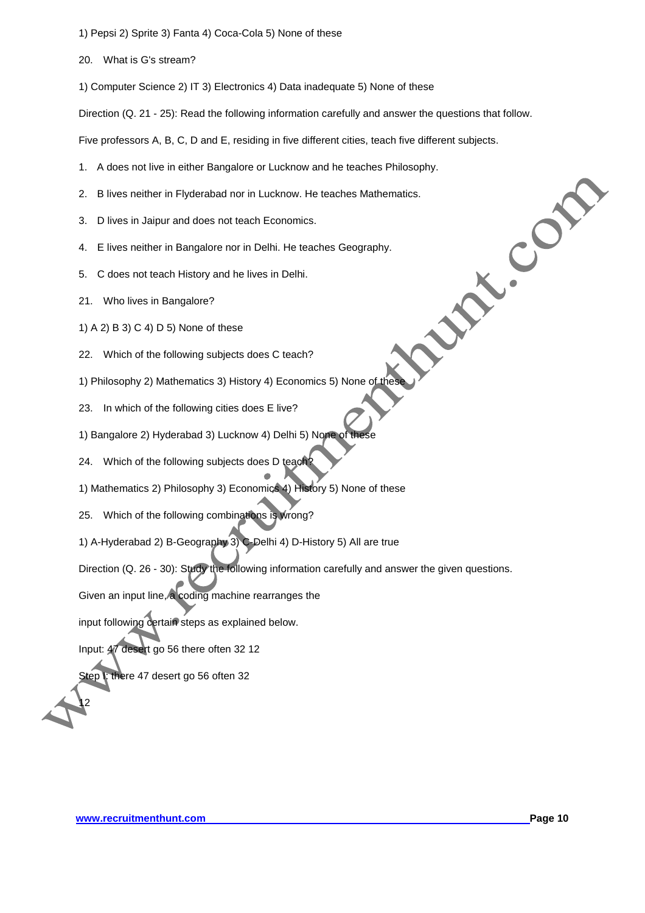- 1) Pepsi 2) Sprite 3) Fanta 4) Coca-Cola 5) None of these
- 20. What is G's stream?
- 1) Computer Science 2) IT 3) Electronics 4) Data inadequate 5) None of these

Direction (Q. 21 - 25): Read the following information carefully and answer the questions that follow.

Five professors A, B, C, D and E, residing in five different cities, teach five different subjects.

- 1. A does not live in either Bangalore or Lucknow and he teaches Philosophy.<br>
2. B lives neither in Flyderabad nor in Lucknow. He teaches Mathematics.<br>
3. D lives in Jaipur and does not teach Economics.<br>
4. E lives neither
- 2. B lives neither in Flyderabad nor in Lucknow. He teaches Mathematics.
- 3. D lives in Jaipur and does not teach Economics.
- 4. E lives neither in Bangalore nor in Delhi. He teaches Geography.
- 5. C does not teach History and he lives in Delhi.
- 21. Who lives in Bangalore?
- 1) A 2) B 3) C 4) D 5) None of these
- 22. Which of the following subjects does C teach?
- 1) Philosophy 2) Mathematics 3) History 4) Economics 5) None of thes
- 23. In which of the following cities does E live?
- 1) Bangalore 2) Hyderabad 3) Lucknow 4) Delhi 5) None of
- 24. Which of the following subjects does D teach?
- 1) Mathematics 2) Philosophy 3) Economics 4) History 5) None of these
- 25. Which of the following combinations is wrong?
- 1) A-Hyderabad 2) B-Geography 3) C-Delhi 4) D-History 5) All are true

Direction (Q. 26 - 30): Study the following information carefully and answer the given questions.

Given an input line, a coding machine rearranges the

input following certain steps as explained below.

Input: 47 desert go 56 there often 32 12

tep **I**: there 47 desert go 56 often 32

12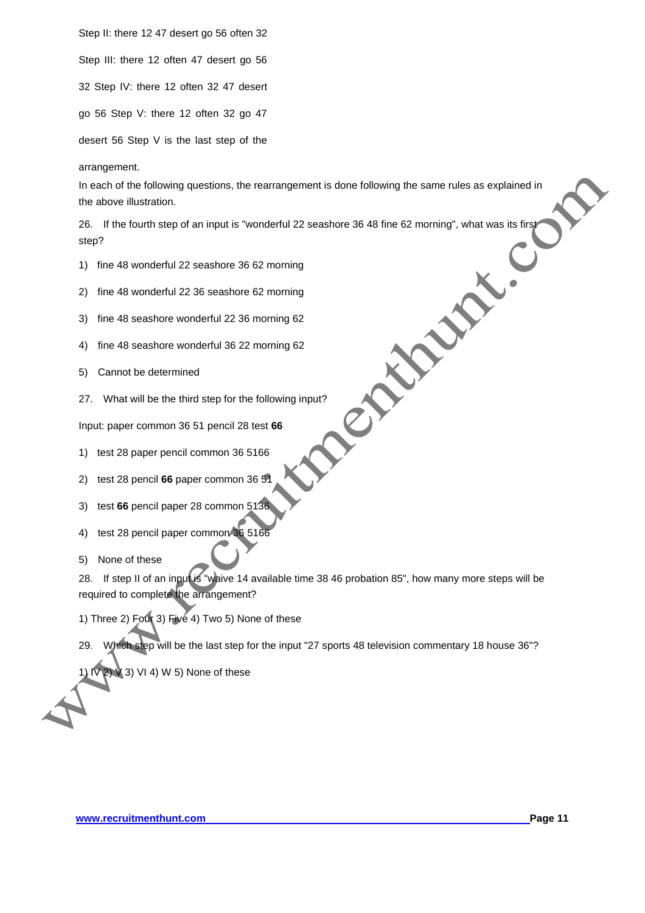Step II: there 12 47 desert go 56 often 32

Step III: there 12 often 47 desert go 56

32 Step IV: there 12 often 32 47 desert

go 56 Step V: there 12 often 32 go 47

desert 56 Step V is the last step of the

arrangement.

In each of the following questions, the rearrangement is done following the same rules as explained in the above illustration.

26. If the fourth step of an input is "wonderful 22 seashore 36 48 fine 62 morning", what was its first<br>step?<br>
1) fine 48 wonderful 22 seashore 36 62 morning<br>
2) fine 48 wonderful 22 36 seashore 62 morning<br>
3) fine 48 sea step?

- 1) fine 48 wonderful 22 seashore 36 62 morning
- 2) fine 48 wonderful 22 36 seashore 62 morning
- 3) fine 48 seashore wonderful 22 36 morning 62
- 4) fine 48 seashore wonderful 36 22 morning 62
- 5) Cannot be determined
- 27. What will be the third step for the following input?

Input: paper common 36 51 pencil 28 test **66**

- 1) test 28 paper pencil common 36 5166
- 2) test 28 pencil **66** paper common 36 51
- 3) test **66** pencil paper 28 common 5136
- 4) test 28 pencil paper common 36 5166
- 5) None of these

28. If step II of an input is "waive 14 available time 38 46 probation 85", how many more steps will be required to complete the arrangement?

- 1) Three 2) Four 3) Five 4) Two 5) None of these
- 29. Which step will be the last step for the input "27 sports 48 television commentary 18 house 36"?

 $\vee$  3) VI 4) W 5) None of these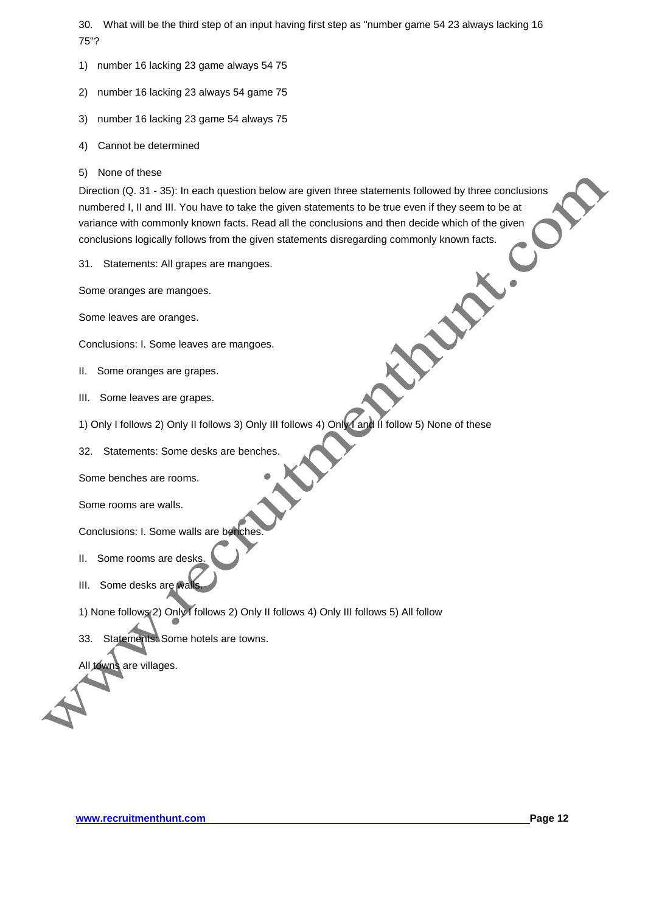30. What will be the third step of an input having first step as "number game 54 23 always lacking 16 75"?

- 1) number 16 lacking 23 game always 54 75
- 2) number 16 lacking 23 always 54 game 75
- 3) number 16 lacking 23 game 54 always 75
- 4) Cannot be determined
- 5) None of these

Direction (Q. 31 - 35): In each question below are given three statements followed by three conclusions numbered I, II and III. You have to take the given statements to be true even if they seem to be at variance with commonly known facts. Read all the conclusions and then decide which of the given conclusions logically follows from the given statements disregarding commonly known facts.<br>
31. Statements: All grapes are mangoes.<br>
Some oranges are mangoes.<br>
Some leaves are oranges.<br>
Conclusions: I. Some leaves are mang

31. Statements: All grapes are mangoes.

Some oranges are mangoes.

Some leaves are oranges.

Conclusions: I. Some leaves are mangoes.

- II. Some oranges are grapes.
- III. Some leaves are grapes.
- 1) Only I follows 2) Only II follows 3) Only III follows 4) Only I and II follow 5) None of these
- 32. Statements: Some desks are benches.

Some benches are rooms.

Some rooms are walls.

Conclusions: I. Some walls are benches

- II. Some rooms are desks
- III. Some desks are wall
- 1) None follows 2) Only I follows 2) Only II follows 4) Only III follows 5) All follow
- 33. Statements: Some hotels are towns.

All towns are villages.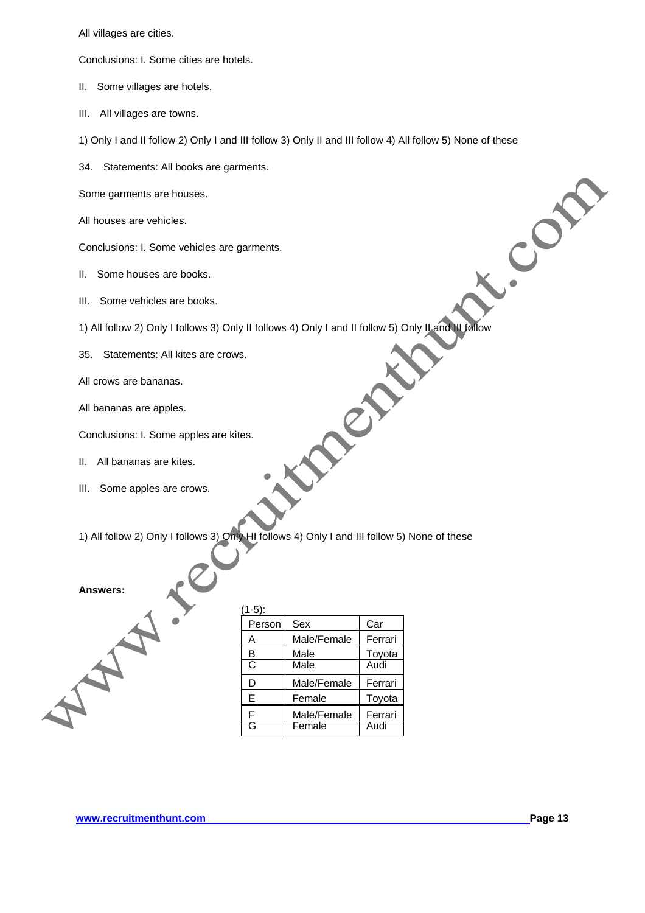All villages are cities.

Conclusions: I. Some cities are hotels.

- II. Some villages are hotels.
- III. All villages are towns.
- 1) Only I and II follow 2) Only I and III follow 3) Only II and III follow 4) All follow 5) None of these
- 34. Statements: All books are garments.

Some garments are houses.

All houses are vehicles.

Conclusions: I. Some vehicles are garments.

- II. Some houses are books.
- III. Some vehicles are books.
- 1) All follow 2) Only I follows 3) Only II follows 4) Only I and II follow 5) Only II and III follow
- 35. Statements: All kites are crows.
- All crows are bananas.
- All bananas are apples.

Conclusions: I. Some apples are kites.

- II. All bananas are kites.
- III. Some apples are crows.

1) All follow 2) Only I follows 3) Only HI follows 4) Only I and III follow 5) None of these

## **Answers:**

| (1-5): |             |         |
|--------|-------------|---------|
| Person | Sex         | Car     |
| A      | Male/Female | Ferrari |
| B      | Male        | Toyota  |
| C      | Male        | Audi    |
| D      | Male/Female | Ferrari |
| E      | Female      | Toyota  |
| F      | Male/Female | Ferrari |
| G      | Female      | Audi    |

**PROV** 

L. Con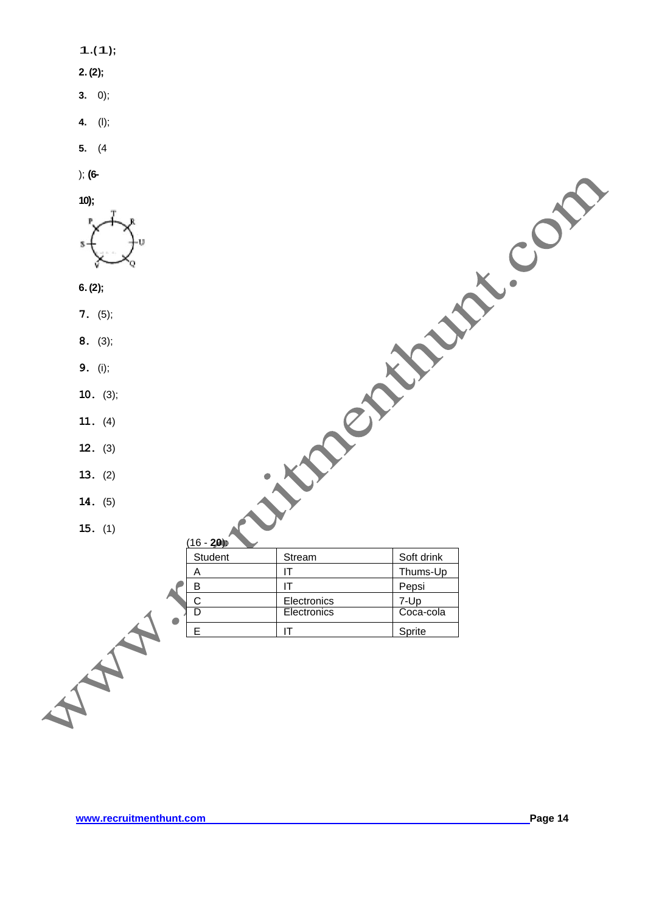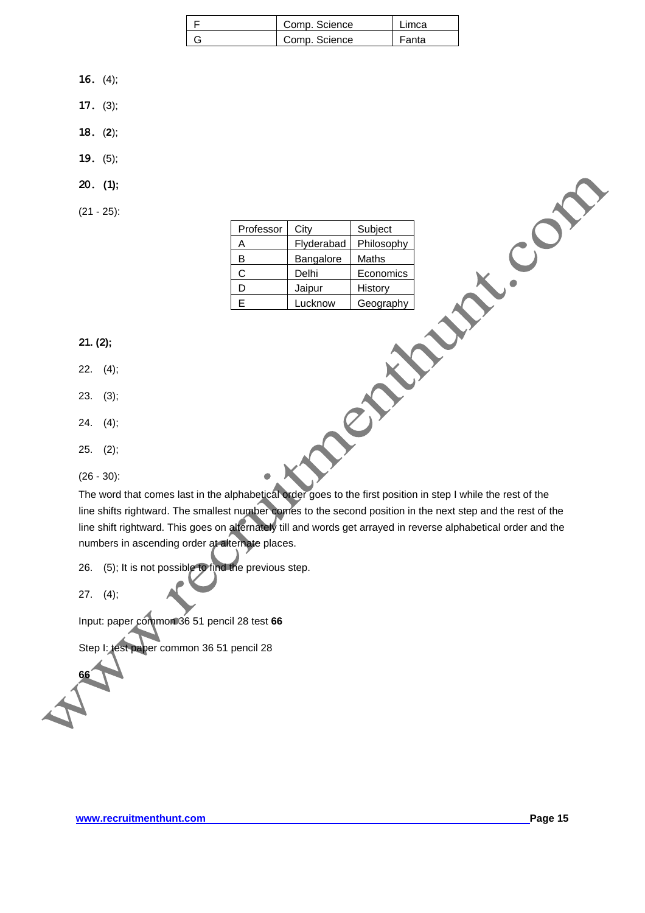| Comp. Science | Limca |
|---------------|-------|
| Comp. Science | Fanta |

- **16.** (4);
- **17.** (3);
- **18.** (**2**);
- **19.** (5);
- **20. (1);**
- (21 25):

| Professor | City       | Subject    |
|-----------|------------|------------|
| A         | Flyderabad | Philosophy |
| в         | Bangalore  | Maths      |
| C         | Delhi      | Economics  |
| D         | Jaipur     | History    |
| E         | Lucknow    | Geography  |

**21. (2);**

- 22. (4);
- 23. (3);
- 24. (4);
- 25. (2);

(26 - 30):

The word that comes last in the alphabetical order goes to the first position in step I while the rest of the line shifts rightward. The smallest number comes to the second position in the next step and the rest of the line shift rightward. This goes on alternately till and words get arrayed in reverse alphabetical order and the numbers in ascending order at alternate places.

 $\bullet$ 

26. (5); It is not possible to find the previous step.

27. (4);

Input: paper common 36 51 pencil 28 test **66** 

Step I: test paper common 36 51 pencil 28

**66**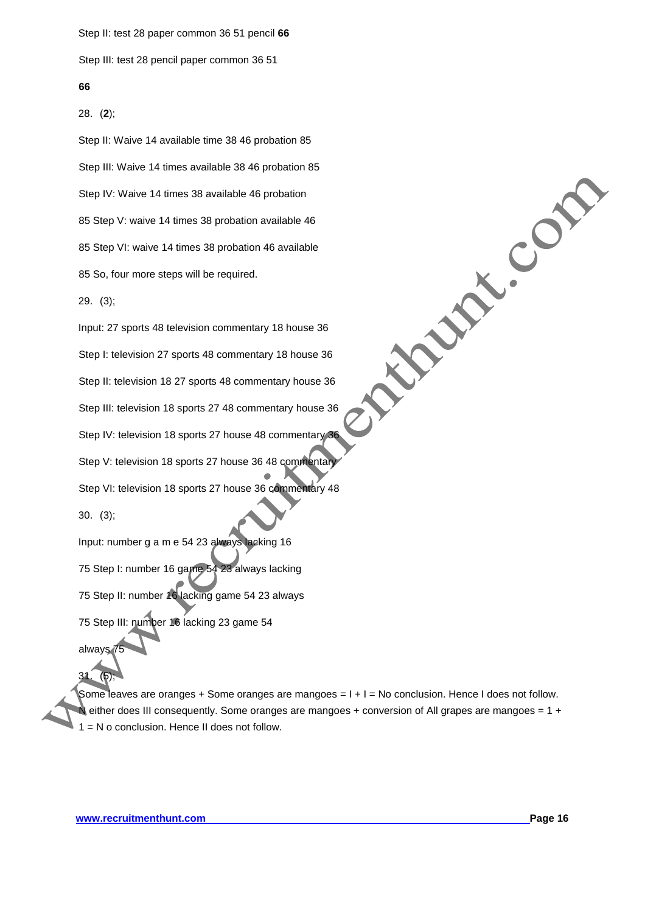Step II: test 28 paper common 36 51 pencil **66** 

Step III: test 28 pencil paper common 36 51

#### **66**

28. (**2**);

Step II: Waive 14 available time 38 46 probation 85 Step III: Waive 14 times available 38 46 probation 85 Step IV: Waive 14 times 38 available 46 probation 85 Step V: waive 14 times 38 probation available 46 85 Step VI: waive 14 times 38 probation 46 available 85 So, four more steps will be required.

29. (3);

Input: 27 sports 48 television commentary 18 house 36 Step I: television 27 sports 48 commentary 18 house 36 Step II: television 18 27 sports 48 commentary house 36 Step III: television 18 sports 27 48 commentary house 36 Step IV: television 18 sports 27 house 48 commentary 36 Step V: television 18 sports 27 house 36 48 commental Step VI: television 18 sports 27 house 36 commentary 48 30. (3);

Input: number g a m e 54 23 always lacking 16 75 Step I: number 16 game 54 23 always lacking 75 Step II: number 16 lacking game 54 23 always 75 Step III: number 16 lacking 23 game 54 always

Some leaves are oranges + Some oranges are mangoes = I + I = No conclusion. Hence I does not follow. either does III consequently. Some oranges are mangoes + conversion of All grapes are mangoes =  $1 +$ = N o conclusion. Hence II does not follow.

31. (5);

**Procession**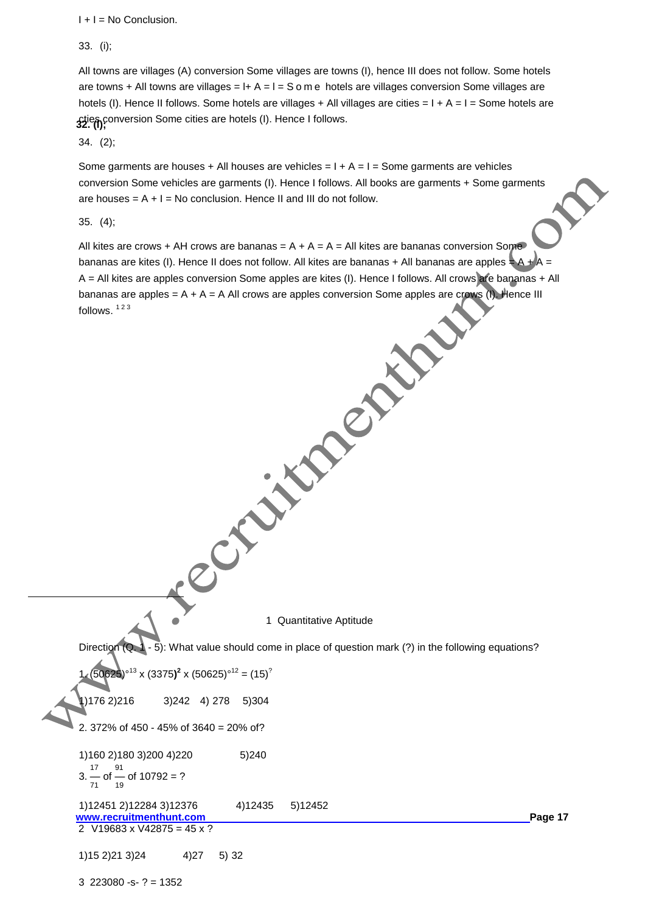$I + I = No$  Conclusion.

33. (i);

**32. (l);** cties conversion Some cities are hotels (I). Hence I follows. All towns are villages (A) conversion Some villages are towns (I), hence III does not follow. Some hotels are towns + All towns are villages =  $I + A = I = S$  o m e hotels are villages conversion Some villages are hotels (I). Hence II follows. Some hotels are villages + All villages are cities = I + A = I = Some hotels are

34. (2);

Some garments are houses + All houses are vehicles =  $I + A = I =$  Some garments are vehicles conversion Some vehicles are garments (I). Hence I follows. All books are garments + Some garments are houses =  $A + I = No$  conclusion. Hence II and III do not follow.

35. (4);

 $\overline{a}$ 

All kites are crows + AH crows are bananas =  $A + A = A =$  All kites are bananas conversion Some bananas are kites (I). Hence II does not follow. All kites are bananas + All bananas are apples  $\pm$  A + A = A = All kites are apples conversion Some apples are kites (I). Hence I follows. All crows are apples in the bananas are apples = A + A = A All crows are apples conversion Some apples are come (I). Hence III<br>follows. <sup>123</sup> bananas are apples = A + A = A All crows are apples conversion Some apples are crows (I). Hence III follows.  $123$ 

1 Quantitative Aptitude

Direction (Q. 1 - 5): What value should come in place of question mark (?) in the following equations?

$$
1 \cdot (50625)^{\circ 13} \times (3375)^2 \times (50625)^{\circ 12} = (15)^2
$$

1)176 2)216 3)242 4) 278 5)304

2. 372% of 450 - 45% of 3640 = 20% of?

1)160 2)180 3)200 4)220 5)240  $3.\frac{17}{71}$  of  $\frac{91}{19}$  of 10792 = ?

**www.recruitmenthunt.com Page 17** 1)12451 2)12284 3)12376 4)12435 5)12452 2 V19683 x V42875 = 45 x ?

1)15 2)21 3)24 4)27 5) 32

3 223080 -s- ? = 1352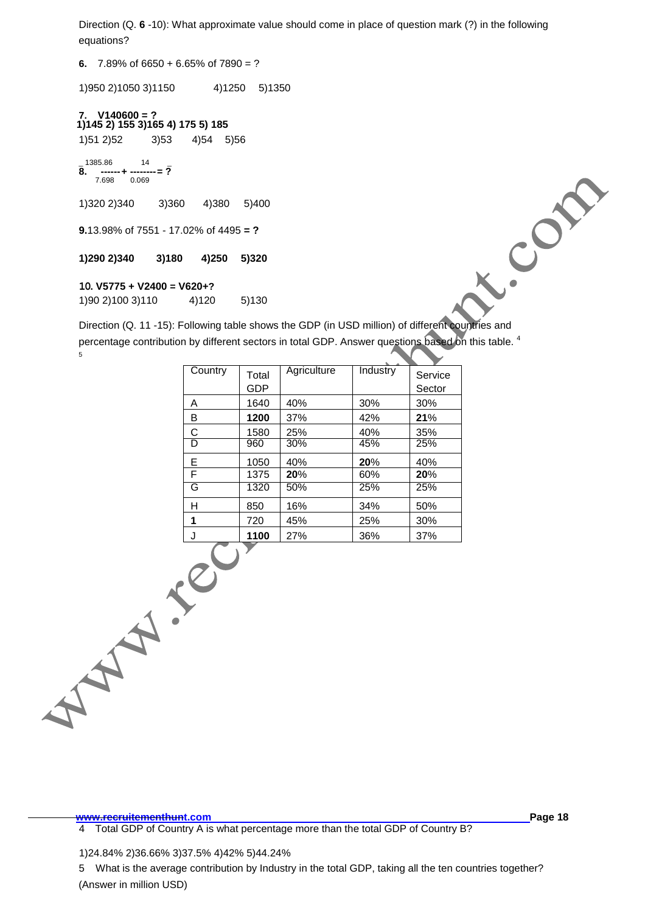Direction (Q. **6** -10): What approximate value should come in place of question mark (?) in the following equations?

**6.** 7.89% of 6650 + 6.65% of 7890 = ?

1)950 2)1050 3)1150 4)1250 5)1350

**1)145 2) 155 3)165 4) 175 5) 185 7. V140600 = ?** 1)51 2)52 3)53 4)54 5)56

\_ 1385.86 14 \_ **8. ------+ --------= ?** ----<br>7.698

1)320 2)340 3)360 4)380 5)400

**9.**13.98% of 7551 - 17.02% of 4495 **= ?**

## **1)290 2)340 3)180 4)250 5)320**

## **10. V5775 + V2400 = V620+?**

1)90 2)100 3)110 4)120 5)130

 $(3)180$ <br>  $(3)180$ <br>  $(4)250$ <br>  $(5)320$ <br>  $(10. V5775 + V2400 = V620+?$ <br>  $(1)9021003110$ <br>  $(4)120$ <br>  $(5)130$ <br>
Direction (Q. 11 -15): Following table shows the GDP (in USD million) of different countries and percentage contribution by different sectors in total GDP. Answer questions based on this table. <sup>4</sup> 5

| Country | Total<br>GDP | Agriculture | Industry | Service<br>Sector |
|---------|--------------|-------------|----------|-------------------|
| A       | 1640         | 40%         | 30%      | 30%               |
| B       | 1200         | 37%         | 42%      | 21%               |
| C       | 1580         | 25%         | 40%      | 35%               |
| D       | 960          | 30%         | 45%      | 25%               |
| Е       | 1050         | 40%         | 20%      | 40%               |
| F       | 1375         | 20%         | 60%      | 20%               |
| G       | 1320         | 50%         | 25%      | 25%               |
| н       | 850          | 16%         | 34%      | 50%               |
| 1       | 720          | 45%         | 25%      | 30%               |
|         | 1100         | 27%         | 36%      | 37%               |

**www.recruitementhunt.com Page 18** 4 Total GDP of Country A is what percentage more than the total GDP of Country B?

 $\overline{a}$ 

1)24.84% 2)36.66% 3)37.5% 4)42% 5)44.24%

5 What is the average contribution by Industry in the total GDP, taking all the ten countries together? (Answer in million USD)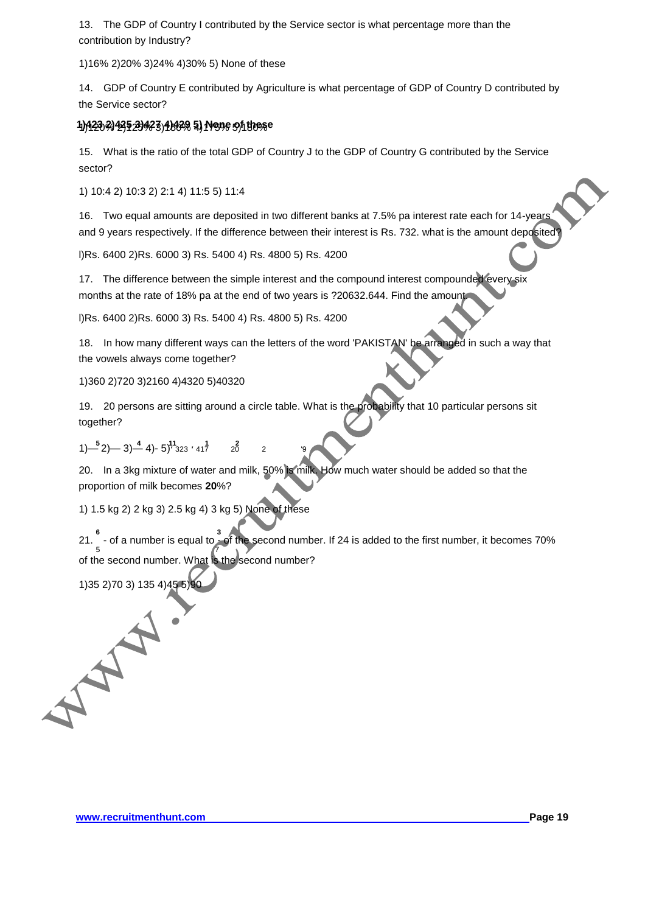13. The GDP of Country I contributed by the Service sector is what percentage more than the contribution by Industry?

1)16% 2)20% 3)24% 4)30% 5) None of these

14. GDP of Country E contributed by Agriculture is what percentage of GDP of Country D contributed by the Service sector?

# 1)1420*9)1*29529423)4H29 5),14G9e 5)hthese

15. What is the ratio of the total GDP of Country J to the GDP of Country G contributed by the Service sector?

1) 10:4 2) 10:3 2) 2:1 4) 11:5 5) 11:4

16. Two equal amounts are deposited in two different banks at 7.5% pa interest rate each for 14-years and 9 years respectively. If the difference between their interest is Rs. 732. what is the amount deposited

l)Rs. 6400 2)Rs. 6000 3) Rs. 5400 4) Rs. 4800 5) Rs. 4200

17. The difference between the simple interest and the compound interest compounded every six months at the rate of 18% pa at the end of two years is ?20632.644. Find the amount.

l)Rs. 6400 2)Rs. 6000 3) Rs. 5400 4) Rs. 4800 5) Rs. 4200

18. In how many different ways can the letters of the word 'PAKISTAN' be arranged in such a way that the vowels always come together?

1)360 2)720 3)2160 4)4320 5)40320

19. 20 persons are sitting around a circle table. What is the probability that 10 particular persons sit together?

```
5 4 11 1 2
1)— 2)— 3)— 4)- 5)' 323 ' 417 20 2 '9
```
20. In a 3kg mixture of water and milk, 50% is milk. How much water should be added so that the proportion of milk becomes **20**%?

1) 1.5 kg 2) 2 kg 3) 2.5 kg 4) 3 kg 5) None of these

**6 3** 21. - of a number is equal to - of the second number. If 24 is added to the first number, it becomes 70% 5 7 of the second number. What is the second number?

1)35 2)70 3) 135 4)45 5)90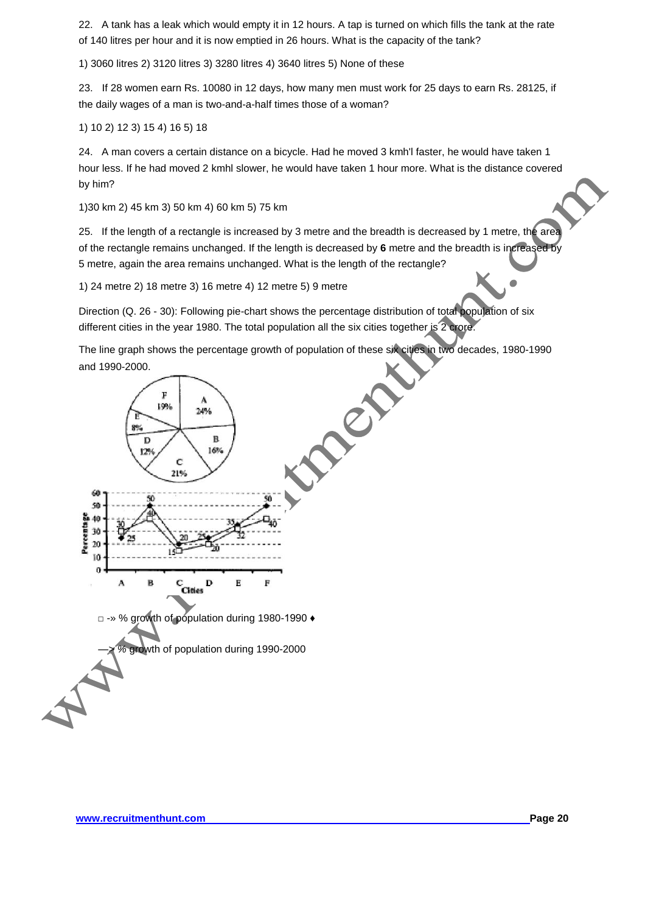22. A tank has a leak which would empty it in 12 hours. A tap is turned on which fills the tank at the rate of 140 litres per hour and it is now emptied in 26 hours. What is the capacity of the tank?

1) 3060 litres 2) 3120 litres 3) 3280 litres 4) 3640 litres 5) None of these

23. If 28 women earn Rs. 10080 in 12 days, how many men must work for 25 days to earn Rs. 28125, if the daily wages of a man is two-and-a-half times those of a woman?

1) 10 2) 12 3) 15 4) 16 5) 18

24. A man covers a certain distance on a bicycle. Had he moved 3 kmh'l faster, he would have taken 1 hour less. If he had moved 2 kmhl slower, he would have taken 1 hour more. What is the distance covered by him?

1)30 km 2) 45 km 3) 50 km 4) 60 km 5) 75 km

25. If the length of a rectangle is increased by 3 metre and the breadth is decreased by 1 metre, the area of the rectangle remains unchanged. If the length is decreased by **6** metre and the breadth is increased by 5 metre, again the area remains unchanged. What is the length of the rectangle?

1) 24 metre 2) 18 metre 3) 16 metre 4) 12 metre 5) 9 metre

Direction (Q. 26 - 30): Following pie-chart shows the percentage distribution of total population of six different cities in the year 1980. The total population all the six cities together is 2 crore.

The line graph shows the percentage growth of population of these six cities in two decades, 1980-1990 and 1990-2000.

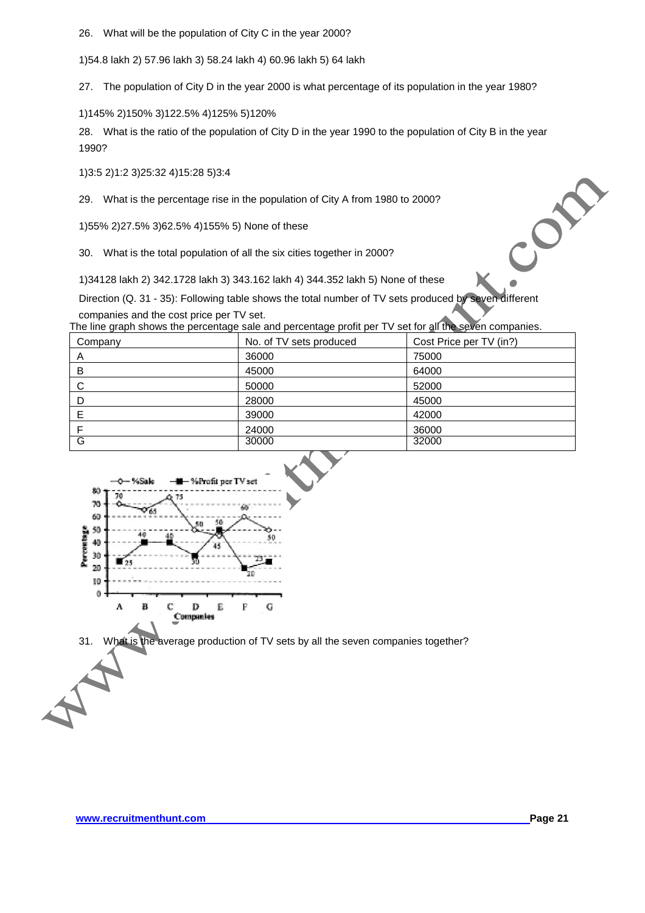26. What will be the population of City C in the year 2000?

1)54.8 lakh 2) 57.96 lakh 3) 58.24 lakh 4) 60.96 lakh 5) 64 lakh

27. The population of City D in the year 2000 is what percentage of its population in the year 1980?

1)145% 2)150% 3)122.5% 4)125% 5)120%

28. What is the ratio of the population of City D in the year 1990 to the population of City B in the year 1990?

1)3:5 2)1:2 3)25:32 4)15:28 5)3:4

29. What is the percentage rise in the population of City A from 1980 to 2000?

1)55% 2)27.5% 3)62.5% 4)155% 5) None of these

30. What is the total population of all the six cities together in 2000?

1)34128 lakh 2) 342.1728 lakh 3) 343.162 lakh 4) 344.352 lakh 5) None of these

Direction (Q. 31 - 35): Following table shows the total number of TV sets produced by seven different companies and the cost price per TV set.

The line graph shows the percentage sale and percentage profit per TV set for all the seven companies.

| Company | No. of TV sets produced | Cost Price per TV (in?) |
|---------|-------------------------|-------------------------|
| A       | 36000                   | 75000                   |
| B       | 45000                   | 64000                   |
| C       | 50000                   | 52000                   |
| D       | 28000                   | 45000                   |
| E       | 39000                   | 42000                   |
|         | 24000                   | 36000                   |
| G       | 30000                   | 32000                   |



31. What is the average production of TV sets by all the seven companies together?

COM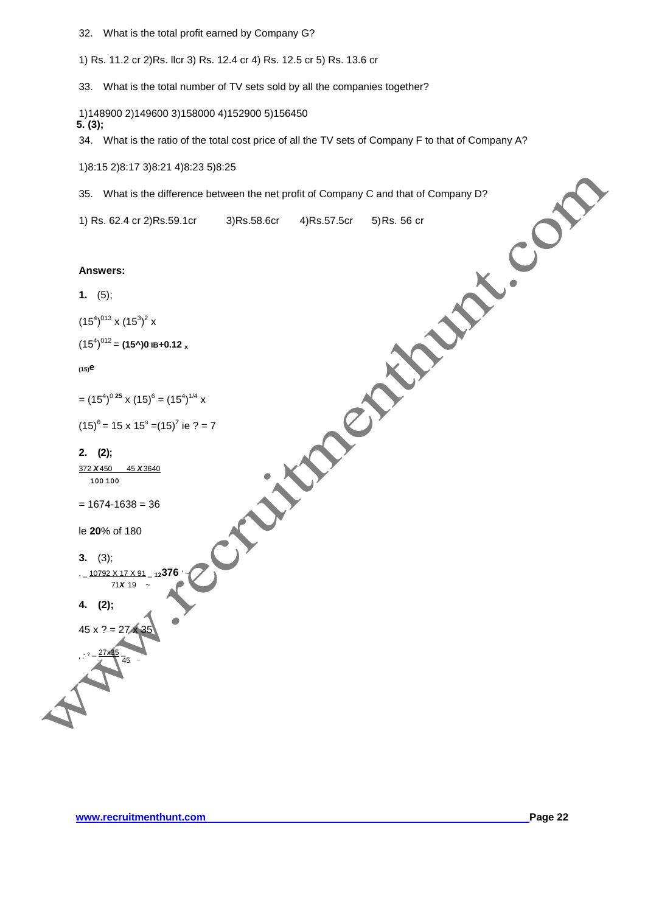32. What is the total profit earned by Company G?

1) Rs. 11.2 cr 2)Rs. llcr 3) Rs. 12.4 cr 4) Rs. 12.5 cr 5) Rs. 13.6 cr

33. What is the total number of TV sets sold by all the companies together?

**5. (3);** 1)148900 2)149600 3)158000 4)152900 5)156450

34. What is the ratio of the total cost price of all the TV sets of Company F to that of Company A?

1)8:15 2)8:17 3)8:21 4)8:23 5)8:25

35. What is the difference between the net profit of Company C and that of Company D?

1) Rs. 62.4 cr 2)Rs.59.1cr 3)Rs.58.6cr 4)Rs.57.5cr 5)Rs. 56 cr

#### **Answers:**

```
1. (5);
```

```
(15^4)^{013} x (15^3)^2 x
```
 $(15^4)^{012}$  = **(15^)0 IB+0.12 x** 

**(15)e**

$$
= (15^4)^{0.25} \times (15)^6 = (15^4)^{1/4} \times
$$

$$
(15)^6 = 15 \times 15^8 = (15)^7
$$
ie ? = 7

#### **2. (2);**

372 *X*450 45 *X*3640 **100 100**

```
= 1674 - 1638 = 36
```
le **20**% of 180

$$
3. \quad (3);
$$

, \_ 10792 X 17 X 91 \_ **12376** ' ~ 71*X* 19 ~

 $\bar{4}5$  –

**4. (2);**

 $\cdot$  ?  $-$  27x35  $-$ 

' ' <sup>' \_</sup>\_

 $45 \times ? = 27 \times 35$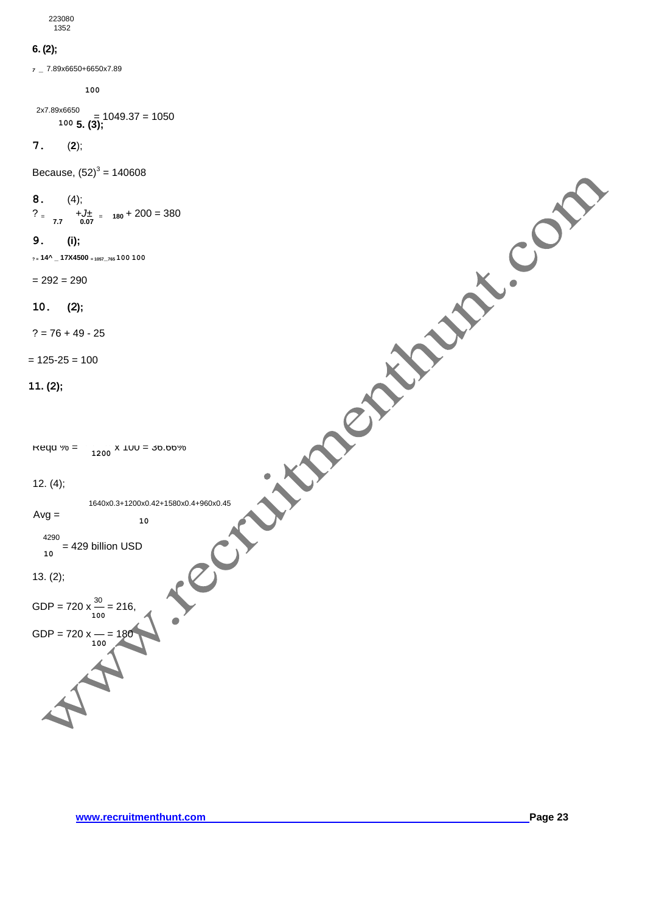223080 1352

## **6. (2);**

*<sup>7</sup> \_* 7.89x6650+6650x7.89

**100** 

 $\begin{bmatrix} 100.37 & 1050 \\ 100.5 & 105 \end{bmatrix}$ 2x7.89x6650

$$
7. \hspace{20pt} (2);
$$

Because,  $(52)^3$  = 140608

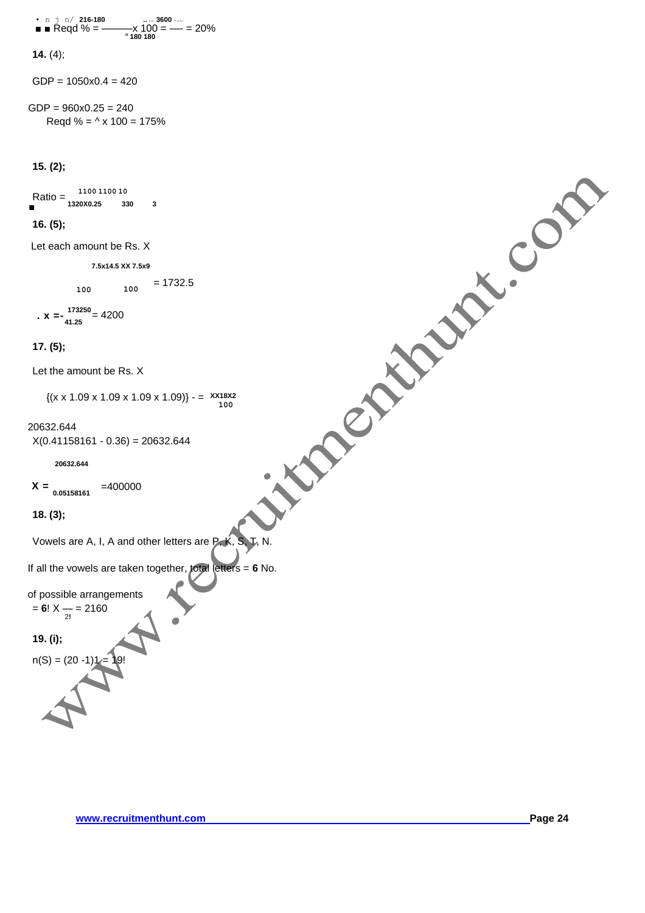• n j n/ 216-180   
■ Redd % = 
$$
\frac{100}{180}
$$
 = 20%

**14.** (4);

 $GDP = 1050 \times 0.4 = 420$ 

 $GDP = 960 \times 0.25 = 240$ Regd % =  $\triangle$  x 100 = 175%

**15. (2);**

Ratio = **1100 1100 10** ■ **1320X0.25 330 3**  $X = \begin{bmatrix} 1.09 \times 1.09 \end{bmatrix}$ <br>  $X = \begin{bmatrix} 1.09 \times 1.09 \end{bmatrix}$ <br>  $X = \begin{bmatrix} 1.09 \times 1.09 \end{bmatrix}$ <br>  $X = \begin{bmatrix} 1.09 \times 1.09 \end{bmatrix}$ <br>  $X = \begin{bmatrix} 1.09 \times 1.09 \end{bmatrix}$ <br>  $X = \begin{bmatrix} 1.09 \times 1.09 \end{bmatrix}$ <br>  $X = \begin{bmatrix} 1.09 \times 1.09 \end{bmatrix}$ <br>  $X = \begin{bmatrix} 1$ 

## **16. (5);**

Let each amount be Rs. X

**7.5x14.5 XX 7.5x9**

**100 100**  = 1732.5

$$
x = -\frac{173250}{41.25} = 4200
$$

## **17. (5);**

Let the amount be Rs. X

{(x x 1.09 x 1.09 x 1.09 x 1.09)} - = **XX18X2 100**

## 20632.644

 $X(0.41158161 - 0.36) = 20632.644$ 

**20632.644**

```
X = 0.05158161 = 400000
```
**18. (3);**

If all the vowels are taken together, total letters = **6** No.

of possible arrangements = **6**! X — = 2160 2**!**

**19. (i);**

 $n(S) = (20 - 1)1$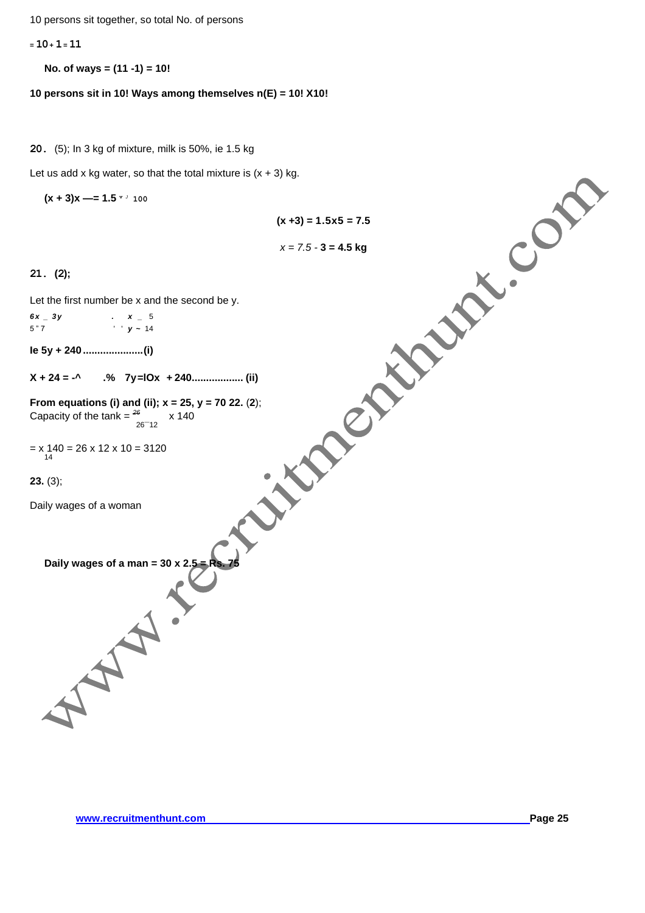10 persons sit together, so total No. of persons

**<sup>=</sup>10+ 1= 11**

**No. of ways = (11 -1) = 10!**

**10 persons sit in 10! Ways among themselves n(E) = 10! X10!**

**20.** (5); In 3 kg of mixture, milk is 50%, ie 1.5 kg

Let us add x kg water, so that the total mixture is (x + 3) kg.

**(x + 3)x —= 1.5 <sup>v</sup>***<sup>J</sup>* **100**

**(x +3) = 1.5x5 = 7.5**

*x = 7.5 -* **3 = 4.5 kg**

**21. (2);**

Let the first number be x and the second be y.

| $6x - 3y$ | $\cdot$ $\boldsymbol{x}$ $=$ 5 |  |
|-----------|--------------------------------|--|
| 5"7       | $y - 14$                       |  |

**Ie 5y + 240 .....................(i)**

**X + 24 = -^ .% 7y=lOx + 240.................. (ii)**

**From equations (i) and (ii); x = 25, y = 70 22.** (**2**); Capacity of the tank =  $\frac{26}{26-12}$  x 140

= x 140 = 26 x 12 x 10 = 3120 14

**23.** (3);

Daily wages of a woman

**Daily wages of a man = 30 x 2.5 = Rs. 75**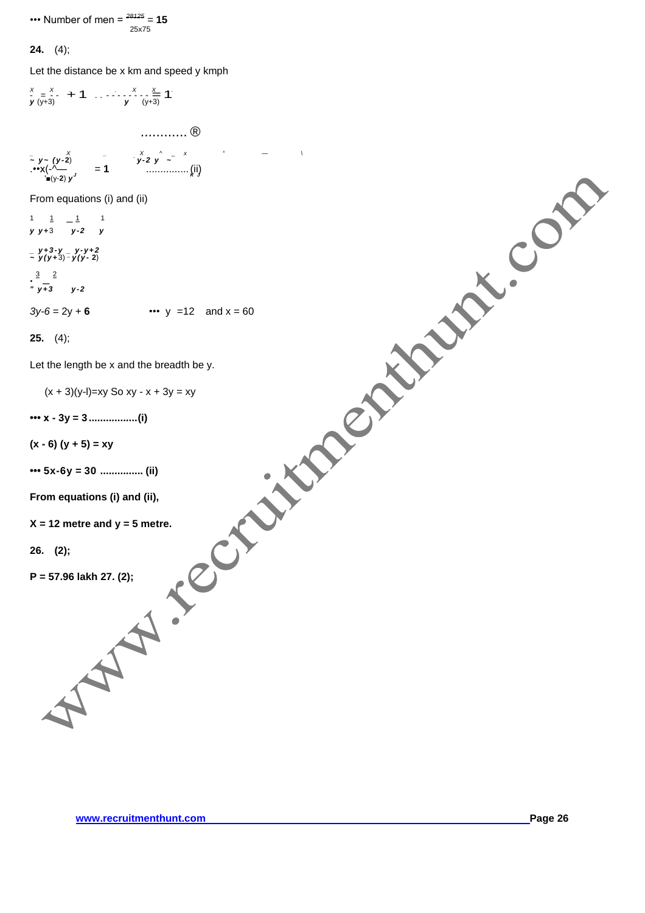••• Number of men = *<sup>28125</sup> =* **15** 25x75

# **24.** (4);

Let the distance be x km and speed y kmph

$$
\sum_{y_1,y_2} \frac{(y_1 z_1^2 + 1 \cdots + y_1 z_1 z_2^2 + 1)}{(y_1 y_1 + y_2)^2}
$$
\n
$$
\sum_{y_1,y_2} \frac{(y_1 z_1^2 + z_1^2 + z_2^2 + z_2^2)}{(y_1 y_1 + y_2)^2}
$$
\nFrom equations (i) and (ii)  
\n
$$
\sum_{y_1+y_1} \frac{1}{x_1^2 + 2} - \frac{1}{y_1^2 + 2}
$$
\n
$$
= \frac{1}{y_1^2 y_1^2 y_2^2 + y_1^2 y_2^2}
$$
\n
$$
= \frac{3y_1^2 y_1^2 y_2^2 + 6 \cdots + y_1^2 y_1^2 y_1^2}{(y_1^2 + y_1^2 + y_2^2 + y_1^2 + y_1^2 + y_1^2 + y_1^2 + y_1^2 + z_1^2)}
$$
\nLet the length be x and the breadth be y.  
\n
$$
(x + 3)(y + y) = xy
$$
\n
$$
= xy
$$
\n
$$
= xy
$$
\n
$$
= xy
$$
\n
$$
= xy
$$
\n
$$
= xy
$$
\n
$$
= xy
$$
\n
$$
= xy
$$
\n
$$
= 26.
$$
 (2);  
\n
$$
P = 57.96
$$
 lakh 27. (2);  
\n
$$
P = 57.96
$$
 lakh 27. (2);